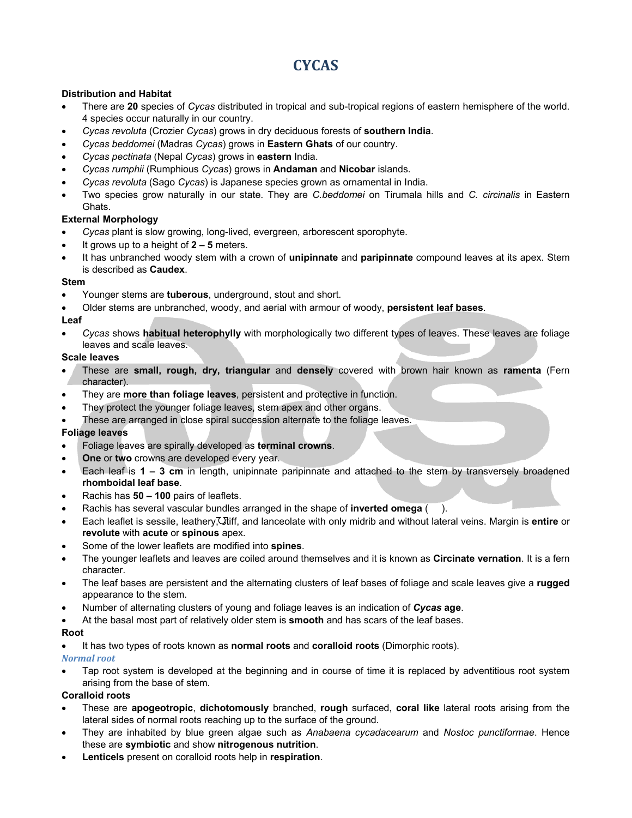# **CYCAS**

## **Distribution and Habitat**

- There are **20** species of *Cycas* distributed in tropical and sub-tropical regions of eastern hemisphere of the world. 4 species occur naturally in our country.
- *Cycas revoluta* (Crozier *Cycas*) grows in dry deciduous forests of **southern India**.
- *Cycas beddomei* (Madras *Cycas*) grows in **Eastern Ghats** of our country.
- *Cycas pectinata* (Nepal *Cycas*) grows in **eastern** India.
- *Cycas rumphii* (Rumphious *Cycas*) grows in **Andaman** and **Nicobar** islands.
- *Cycas revoluta* (Sago *Cycas*) is Japanese species grown as ornamental in India.
- Two species grow naturally in our state. They are *C.beddomei* on Tirumala hills and *C. circinalis* in Eastern Ghats.

#### **External Morphology**

- *Cycas* plant is slow growing, long-lived, evergreen, arborescent sporophyte.
- It grows up to a height of **2 5** meters.
- It has unbranched woody stem with a crown of **unipinnate** and **paripinnate** compound leaves at its apex. Stem is described as **Caudex**.

#### **Stem**

- Younger stems are **tuberous**, underground, stout and short.
- Older stems are unbranched, woody, and aerial with armour of woody, **persistent leaf bases**.

#### **Leaf**

• *Cycas* shows **habitual heterophylly** with morphologically two different types of leaves. These leaves are foliage leaves and scale leaves.

#### **Scale leaves**

- These are **small, rough, dry, triangular** and **densely** covered with brown hair known as **ramenta** (Fern character).
- They are **more than foliage leaves**, persistent and protective in function.
- They protect the younger foliage leaves, stem apex and other organs.
- These are arranged in close spiral succession alternate to the foliage leaves.

#### **Foliage leaves**

- Foliage leaves are spirally developed as **terminal crowns**.
- **One** or **two** crowns are developed every year.
- Each leaf is **1 3 cm** in length, unipinnate paripinnate and attached to the stem by transversely broadened **rhomboidal leaf base**.
- Rachis has **50 100** pairs of leaflets.
- Rachis has several vascular bundles arranged in the shape of **inverted omega** ( ).
- Each leaflet is sessile, leathery. Thiff, and lanceolate with only midrib and without lateral veins. Margin is entire or **revolute** with **acute** or **spinous** apex.
- Some of the lower leaflets are modified into **spines**.
- The younger leaflets and leaves are coiled around themselves and it is known as **Circinate vernation**. It is a fern character.
- The leaf bases are persistent and the alternating clusters of leaf bases of foliage and scale leaves give a **rugged** appearance to the stem.
- Number of alternating clusters of young and foliage leaves is an indication of *Cycas* **age**.
- At the basal most part of relatively older stem is **smooth** and has scars of the leaf bases.

#### **Root**

• It has two types of roots known as **normal roots** and **coralloid roots** (Dimorphic roots).

#### *Normal root*

• Tap root system is developed at the beginning and in course of time it is replaced by adventitious root system arising from the base of stem.

## **Coralloid roots**

- These are **apogeotropic**, **dichotomously** branched, **rough** surfaced, **coral like** lateral roots arising from the lateral sides of normal roots reaching up to the surface of the ground.
- They are inhabited by blue green algae such as *Anabaena cycadacearum* and *Nostoc punctiformae*. Hence these are **symbiotic** and show **nitrogenous nutrition**.
- **Lenticels** present on coralloid roots help in **respiration**.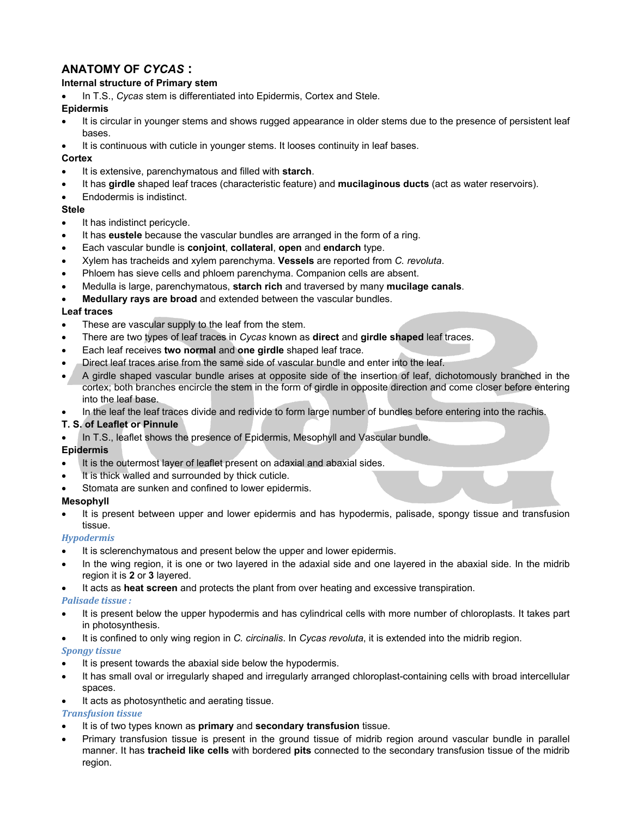## **ANATOMY OF** *CYCAS* **:**

## **Internal structure of Primary stem**

• In T.S., *Cycas* stem is differentiated into Epidermis, Cortex and Stele.

## **Epidermis**

- It is circular in younger stems and shows rugged appearance in older stems due to the presence of persistent leaf bases.
- It is continuous with cuticle in younger stems. It looses continuity in leaf bases.

## **Cortex**

- It is extensive, parenchymatous and filled with **starch**.
- It has **girdle** shaped leaf traces (characteristic feature) and **mucilaginous ducts** (act as water reservoirs).
- Endodermis is indistinct.

## **Stele**

- It has indistinct pericycle.
- It has **eustele** because the vascular bundles are arranged in the form of a ring.
- Each vascular bundle is **conjoint**, **collateral**, **open** and **endarch** type.
- Xylem has tracheids and xylem parenchyma. **Vessels** are reported from *C. revoluta*.
- Phloem has sieve cells and phloem parenchyma. Companion cells are absent.
- Medulla is large, parenchymatous, **starch rich** and traversed by many **mucilage canals**.
- **Medullary rays are broad** and extended between the vascular bundles.

## **Leaf traces**

- These are vascular supply to the leaf from the stem.
- There are two types of leaf traces in *Cycas* known as **direct** and **girdle shaped** leaf traces.
- Each leaf receives **two normal** and **one girdle** shaped leaf trace.
- Direct leaf traces arise from the same side of vascular bundle and enter into the leaf.
- A girdle shaped vascular bundle arises at opposite side of the insertion of leaf, dichotomously branched in the cortex; both branches encircle the stem in the form of girdle in opposite direction and come closer before entering into the leaf base.
- In the leaf the leaf traces divide and redivide to form large number of bundles before entering into the rachis.

## **T. S. of Leaflet or Pinnule**

• In T.S., leaflet shows the presence of Epidermis, Mesophyll and Vascular bundle.

## **Epidermis**

- It is the outermost layer of leaflet present on adaxial and abaxial sides.
- It is thick walled and surrounded by thick cuticle.
- Stomata are sunken and confined to lower epidermis.

## **Mesophyll**

• It is present between upper and lower epidermis and has hypodermis, palisade, spongy tissue and transfusion tissue.

## *Hypodermis*

- It is sclerenchymatous and present below the upper and lower epidermis.
- In the wing region, it is one or two layered in the adaxial side and one layered in the abaxial side. In the midrib region it is **2** or **3** layered.
- It acts as **heat screen** and protects the plant from over heating and excessive transpiration.

## *Palisade tissue :*

- It is present below the upper hypodermis and has cylindrical cells with more number of chloroplasts. It takes part in photosynthesis.
- It is confined to only wing region in *C. circinalis*. In *Cycas revoluta*, it is extended into the midrib region.

## *Spongy tissue*

- It is present towards the abaxial side below the hypodermis.
- It has small oval or irregularly shaped and irregularly arranged chloroplast-containing cells with broad intercellular spaces.
- It acts as photosynthetic and aerating tissue.

## *Transfusion tissue*

- It is of two types known as **primary** and **secondary transfusion** tissue.
- Primary transfusion tissue is present in the ground tissue of midrib region around vascular bundle in parallel manner. It has **tracheid like cells** with bordered **pits** connected to the secondary transfusion tissue of the midrib region.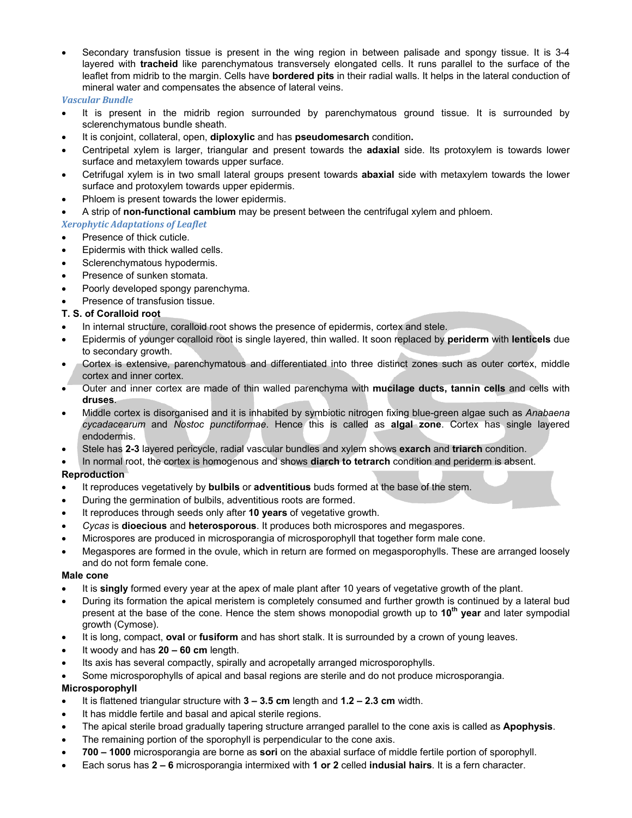• Secondary transfusion tissue is present in the wing region in between palisade and spongy tissue. It is 3-4 layered with **tracheid** like parenchymatous transversely elongated cells. It runs parallel to the surface of the leaflet from midrib to the margin. Cells have **bordered pits** in their radial walls. It helps in the lateral conduction of mineral water and compensates the absence of lateral veins.

#### *Vascular Bundle*

- It is present in the midrib region surrounded by parenchymatous ground tissue. It is surrounded by sclerenchymatous bundle sheath.
- It is conjoint, collateral, open, **diploxylic** and has **pseudomesarch** condition**.**
- Centripetal xylem is larger, triangular and present towards the **adaxial** side. Its protoxylem is towards lower surface and metaxylem towards upper surface.
- Cetrifugal xylem is in two small lateral groups present towards **abaxial** side with metaxylem towards the lower surface and protoxylem towards upper epidermis.
- Phloem is present towards the lower epidermis.
- A strip of **non-functional cambium** may be present between the centrifugal xylem and phloem.

## *Xerophytic Adaptations of Leaflet*

- Presence of thick cuticle.
- Epidermis with thick walled cells.
- Sclerenchymatous hypodermis.
- Presence of sunken stomata.
- Poorly developed spongy parenchyma.
- Presence of transfusion tissue.

#### **T. S. of Coralloid root**

- In internal structure, coralloid root shows the presence of epidermis, cortex and stele.
- Epidermis of younger coralloid root is single layered, thin walled. It soon replaced by **periderm** with **lenticels** due to secondary growth.
- Cortex is extensive, parenchymatous and differentiated into three distinct zones such as outer cortex, middle cortex and inner cortex.
- Outer and inner cortex are made of thin walled parenchyma with **mucilage ducts, tannin cells** and cells with **druses**.
- Middle cortex is disorganised and it is inhabited by symbiotic nitrogen fixing blue-green algae such as *Anabaena cycadacearum* and *Nostoc punctiformae*. Hence this is called as **algal zone**. Cortex has single layered endodermis.
- Stele has **2-3** layered pericycle, radial vascular bundles and xylem shows **exarch** and **triarch** condition.
- In normal root, the cortex is homogenous and shows **diarch to tetrarch** condition and periderm is absent.

## **Reproduction**

- It reproduces vegetatively by **bulbils** or **adventitious** buds formed at the base of the stem.
- During the germination of bulbils, adventitious roots are formed.
- It reproduces through seeds only after **10 years** of vegetative growth.
- *Cycas* is **dioecious** and **heterosporous**. It produces both microspores and megaspores.
- Microspores are produced in microsporangia of microsporophyll that together form male cone.
- Megaspores are formed in the ovule, which in return are formed on megasporophylls. These are arranged loosely and do not form female cone.

#### **Male cone**

- It is **singly** formed every year at the apex of male plant after 10 years of vegetative growth of the plant.
- During its formation the apical meristem is completely consumed and further growth is continued by a lateral bud present at the base of the cone. Hence the stem shows monopodial growth up to **10th year** and later sympodial growth (Cymose).
- It is long, compact, **oval** or **fusiform** and has short stalk. It is surrounded by a crown of young leaves.
- It woody and has **20 60 cm** length.
- Its axis has several compactly, spirally and acropetally arranged microsporophylls.
- Some microsporophylls of apical and basal regions are sterile and do not produce microsporangia.

## **Microsporophyll**

- It is flattened triangular structure with **3 3.5 cm** length and **1.2 2.3 cm** width.
- It has middle fertile and basal and apical sterile regions.
- The apical sterile broad gradually tapering structure arranged parallel to the cone axis is called as **Apophysis**.
- The remaining portion of the sporophyll is perpendicular to the cone axis.
- **700 1000** microsporangia are borne as **sori** on the abaxial surface of middle fertile portion of sporophyll.
- Each sorus has **2 6** microsporangia intermixed with **1 or 2** celled **indusial hairs**. It is a fern character.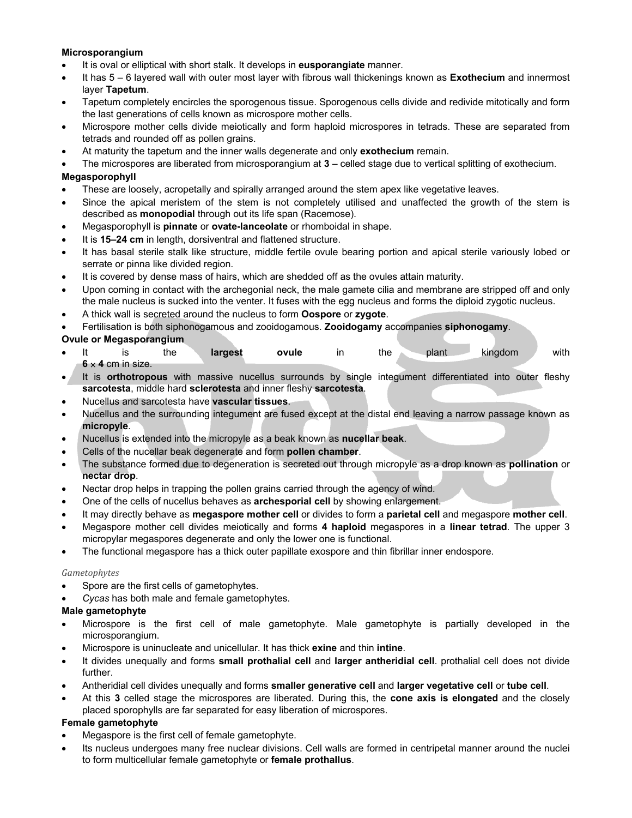#### **Microsporangium**

- It is oval or elliptical with short stalk. It develops in **eusporangiate** manner.
- It has 5 6 layered wall with outer most layer with fibrous wall thickenings known as **Exothecium** and innermost layer **Tapetum**.
- Tapetum completely encircles the sporogenous tissue. Sporogenous cells divide and redivide mitotically and form the last generations of cells known as microspore mother cells.
- Microspore mother cells divide meiotically and form haploid microspores in tetrads. These are separated from tetrads and rounded off as pollen grains.
- At maturity the tapetum and the inner walls degenerate and only **exothecium** remain.
- The microspores are liberated from microsporangium at **3** celled stage due to vertical splitting of exothecium.

### **Megasporophyll**

- These are loosely, acropetally and spirally arranged around the stem apex like vegetative leaves.
- Since the apical meristem of the stem is not completely utilised and unaffected the growth of the stem is described as **monopodial** through out its life span (Racemose).
- Megasporophyll is **pinnate** or **ovate-lanceolate** or rhomboidal in shape.
- It is **15–24 cm** in length, dorsiventral and flattened structure.
- It has basal sterile stalk like structure, middle fertile ovule bearing portion and apical sterile variously lobed or serrate or pinna like divided region.
- It is covered by dense mass of hairs, which are shedded off as the ovules attain maturity.
- Upon coming in contact with the archegonial neck, the male gamete cilia and membrane are stripped off and only the male nucleus is sucked into the venter. It fuses with the egg nucleus and forms the diploid zygotic nucleus.
- A thick wall is secreted around the nucleus to form **Oospore** or **zygote**.
- Fertilisation is both siphonogamous and zooidogamous. **Zooidogamy** accompanies **siphonogamy**.

#### **Ovule or Megasporangium**

- It is the **largest ovule** in the plant kingdom with **6** × **4** cm in size.
- It is **orthotropous** with massive nucellus surrounds by single integument differentiated into outer fleshy **sarcotesta**, middle hard **sclerotesta** and inner fleshy **sarcotesta**.
- Nucellus and sarcotesta have **vascular tissues**.
- Nucellus and the surrounding integument are fused except at the distal end leaving a narrow passage known as **micropyle**.
- Nucellus is extended into the micropyle as a beak known as **nucellar beak**.
- Cells of the nucellar beak degenerate and form **pollen chamber**.
- The substance formed due to degeneration is secreted out through micropyle as a drop known as **pollination** or **nectar drop**.
- Nectar drop helps in trapping the pollen grains carried through the agency of wind.
- One of the cells of nucellus behaves as **archesporial cell** by showing enlargement.
- It may directly behave as **megaspore mother cell** or divides to form a **parietal cell** and megaspore **mother cell**.
- Megaspore mother cell divides meiotically and forms **4 haploid** megaspores in a **linear tetrad**. The upper 3 micropylar megaspores degenerate and only the lower one is functional.
- The functional megaspore has a thick outer papillate exospore and thin fibrillar inner endospore.

#### *Gametophytes*

- Spore are the first cells of gametophytes.
- *Cycas* has both male and female gametophytes.

#### **Male gametophyte**

- Microspore is the first cell of male gametophyte. Male gametophyte is partially developed in the microsporangium.
- Microspore is uninucleate and unicellular. It has thick **exine** and thin **intine**.
- It divides unequally and forms **small prothalial cell** and **larger antheridial cell**. prothalial cell does not divide further.
- Antheridial cell divides unequally and forms **smaller generative cell** and **larger vegetative cell** or **tube cell**.
- At this **3** celled stage the microspores are liberated. During this, the **cone axis is elongated** and the closely placed sporophylls are far separated for easy liberation of microspores.

#### **Female gametophyte**

- Megaspore is the first cell of female gametophyte.
- Its nucleus undergoes many free nuclear divisions. Cell walls are formed in centripetal manner around the nuclei to form multicellular female gametophyte or **female prothallus**.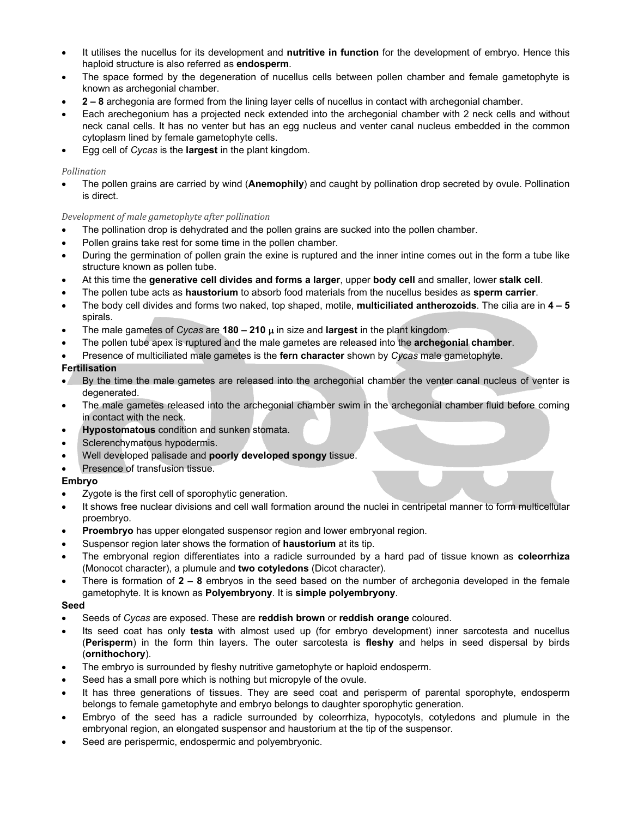- It utilises the nucellus for its development and **nutritive in function** for the development of embryo. Hence this haploid structure is also referred as **endosperm**.
- The space formed by the degeneration of nucellus cells between pollen chamber and female gametophyte is known as archegonial chamber.
- **2 8** archegonia are formed from the lining layer cells of nucellus in contact with archegonial chamber.
- Each arechegonium has a projected neck extended into the archegonial chamber with 2 neck cells and without neck canal cells. It has no venter but has an egg nucleus and venter canal nucleus embedded in the common cytoplasm lined by female gametophyte cells.
- Egg cell of *Cycas* is the **largest** in the plant kingdom.

#### *Pollination*

• The pollen grains are carried by wind (**Anemophily**) and caught by pollination drop secreted by ovule. Pollination is direct.

#### *Development of male gametophyte after pollination*

- The pollination drop is dehydrated and the pollen grains are sucked into the pollen chamber.
- Pollen grains take rest for some time in the pollen chamber.
- During the germination of pollen grain the exine is ruptured and the inner intine comes out in the form a tube like structure known as pollen tube.
- At this time the **generative cell divides and forms a larger**, upper **body cell** and smaller, lower **stalk cell**.
- The pollen tube acts as **haustorium** to absorb food materials from the nucellus besides as **sperm carrier**.
- The body cell divides and forms two naked, top shaped, motile, **multiciliated antherozoids**. The cilia are in **4 5** spirals.
- The male gametes of *Cycas* are **180 210** µ in size and **largest** in the plant kingdom.
- The pollen tube apex is ruptured and the male gametes are released into the **archegonial chamber**.
- Presence of multiciliated male gametes is the **fern character** shown by *Cycas* male gametophyte.

#### **Fertilisation**

- By the time the male gametes are released into the archegonial chamber the venter canal nucleus of venter is degenerated.
- The male gametes released into the archegonial chamber swim in the archegonial chamber fluid before coming in contact with the neck.
- **Hypostomatous** condition and sunken stomata.
- Sclerenchymatous hypodermis.
- Well developed palisade and **poorly developed spongy** tissue.
- Presence of transfusion tissue.

#### **Embryo**

- Zygote is the first cell of sporophytic generation.
- It shows free nuclear divisions and cell wall formation around the nuclei in centripetal manner to form multicellular proembryo.
- **Proembryo** has upper elongated suspensor region and lower embryonal region.
- Suspensor region later shows the formation of **haustorium** at its tip.
- The embryonal region differentiates into a radicle surrounded by a hard pad of tissue known as **coleorrhiza** (Monocot character), a plumule and **two cotyledons** (Dicot character).
- There is formation of **2 8** embryos in the seed based on the number of archegonia developed in the female gametophyte. It is known as **Polyembryony**. It is **simple polyembryony**.

#### **Seed**

- Seeds of *Cycas* are exposed. These are **reddish brown** or **reddish orange** coloured.
- Its seed coat has only **testa** with almost used up (for embryo development) inner sarcotesta and nucellus (**Perisperm**) in the form thin layers. The outer sarcotesta is **fleshy** and helps in seed dispersal by birds (**ornithochory**).
- The embryo is surrounded by fleshy nutritive gametophyte or haploid endosperm.
- Seed has a small pore which is nothing but micropyle of the ovule.
- It has three generations of tissues. They are seed coat and perisperm of parental sporophyte, endosperm belongs to female gametophyte and embryo belongs to daughter sporophytic generation.
- Embryo of the seed has a radicle surrounded by coleorrhiza, hypocotyls, cotyledons and plumule in the embryonal region, an elongated suspensor and haustorium at the tip of the suspensor.
- Seed are perispermic, endospermic and polyembryonic.